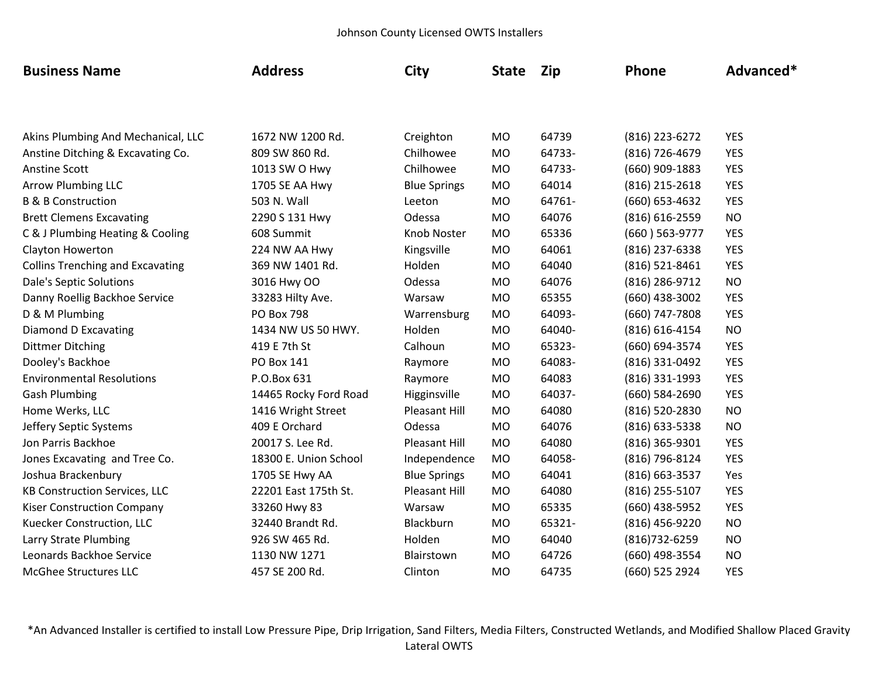| <b>Business Name</b>                    | <b>Address</b>        | City                 | <b>State</b> | Zip    | Phone            | Advanced*  |
|-----------------------------------------|-----------------------|----------------------|--------------|--------|------------------|------------|
|                                         |                       |                      |              |        |                  |            |
| Akins Plumbing And Mechanical, LLC      | 1672 NW 1200 Rd.      | Creighton            | <b>MO</b>    | 64739  | (816) 223-6272   | <b>YES</b> |
| Anstine Ditching & Excavating Co.       | 809 SW 860 Rd.        | Chilhowee            | <b>MO</b>    | 64733- | (816) 726-4679   | <b>YES</b> |
| <b>Anstine Scott</b>                    | 1013 SW O Hwy         | Chilhowee            | <b>MO</b>    | 64733- | $(660)$ 909-1883 | <b>YES</b> |
| <b>Arrow Plumbing LLC</b>               | 1705 SE AA Hwy        | <b>Blue Springs</b>  | <b>MO</b>    | 64014  | (816) 215-2618   | <b>YES</b> |
| <b>B &amp; B Construction</b>           | 503 N. Wall           | Leeton               | <b>MO</b>    | 64761- | (660) 653-4632   | <b>YES</b> |
| <b>Brett Clemens Excavating</b>         | 2290 S 131 Hwy        | Odessa               | <b>MO</b>    | 64076  | (816) 616-2559   | <b>NO</b>  |
| C & J Plumbing Heating & Cooling        | 608 Summit            | Knob Noster          | <b>MO</b>    | 65336  | (660) 563-9777   | <b>YES</b> |
| Clayton Howerton                        | 224 NW AA Hwy         | Kingsville           | <b>MO</b>    | 64061  | (816) 237-6338   | <b>YES</b> |
| <b>Collins Trenching and Excavating</b> | 369 NW 1401 Rd.       | Holden               | <b>MO</b>    | 64040  | (816) 521-8461   | <b>YES</b> |
| Dale's Septic Solutions                 | 3016 Hwy OO           | Odessa               | <b>MO</b>    | 64076  | (816) 286-9712   | <b>NO</b>  |
| Danny Roellig Backhoe Service           | 33283 Hilty Ave.      | Warsaw               | <b>MO</b>    | 65355  | (660) 438-3002   | <b>YES</b> |
| D & M Plumbing                          | <b>PO Box 798</b>     | Warrensburg          | <b>MO</b>    | 64093- | (660) 747-7808   | <b>YES</b> |
| <b>Diamond D Excavating</b>             | 1434 NW US 50 HWY.    | Holden               | <b>MO</b>    | 64040- | (816) 616-4154   | <b>NO</b>  |
| <b>Dittmer Ditching</b>                 | 419 E 7th St          | Calhoun              | <b>MO</b>    | 65323- | (660) 694-3574   | <b>YES</b> |
| Dooley's Backhoe                        | PO Box 141            | Raymore              | <b>MO</b>    | 64083- | (816) 331-0492   | <b>YES</b> |
| <b>Environmental Resolutions</b>        | P.O.Box 631           | Raymore              | <b>MO</b>    | 64083  | (816) 331-1993   | <b>YES</b> |
| <b>Gash Plumbing</b>                    | 14465 Rocky Ford Road | Higginsville         | <b>MO</b>    | 64037- | (660) 584-2690   | <b>YES</b> |
| Home Werks, LLC                         | 1416 Wright Street    | Pleasant Hill        | <b>MO</b>    | 64080  | (816) 520-2830   | <b>NO</b>  |
| Jeffery Septic Systems                  | 409 E Orchard         | Odessa               | <b>MO</b>    | 64076  | (816) 633-5338   | <b>NO</b>  |
| Jon Parris Backhoe                      | 20017 S. Lee Rd.      | Pleasant Hill        | <b>MO</b>    | 64080  | (816) 365-9301   | <b>YES</b> |
| Jones Excavating and Tree Co.           | 18300 E. Union School | Independence         | <b>MO</b>    | 64058- | (816) 796-8124   | <b>YES</b> |
| Joshua Brackenbury                      | 1705 SE Hwy AA        | <b>Blue Springs</b>  | <b>MO</b>    | 64041  | (816) 663-3537   | Yes        |
| <b>KB Construction Services, LLC</b>    | 22201 East 175th St.  | <b>Pleasant Hill</b> | <b>MO</b>    | 64080  | (816) 255-5107   | <b>YES</b> |
| <b>Kiser Construction Company</b>       | 33260 Hwy 83          | Warsaw               | <b>MO</b>    | 65335  | (660) 438-5952   | <b>YES</b> |
| Kuecker Construction, LLC               | 32440 Brandt Rd.      | Blackburn            | <b>MO</b>    | 65321- | (816) 456-9220   | <b>NO</b>  |
| Larry Strate Plumbing                   | 926 SW 465 Rd.        | Holden               | <b>MO</b>    | 64040  | (816) 732-6259   | <b>NO</b>  |
| Leonards Backhoe Service                | 1130 NW 1271          | Blairstown           | <b>MO</b>    | 64726  | (660) 498-3554   | <b>NO</b>  |
| <b>McGhee Structures LLC</b>            | 457 SE 200 Rd.        | Clinton              | <b>MO</b>    | 64735  | (660) 525 2924   | <b>YES</b> |

\*An Advanced Installer is certified to install Low Pressure Pipe, Drip Irrigation, Sand Filters, Media Filters, Constructed Wetlands, and Modified Shallow Placed Gravity Lateral OWTS